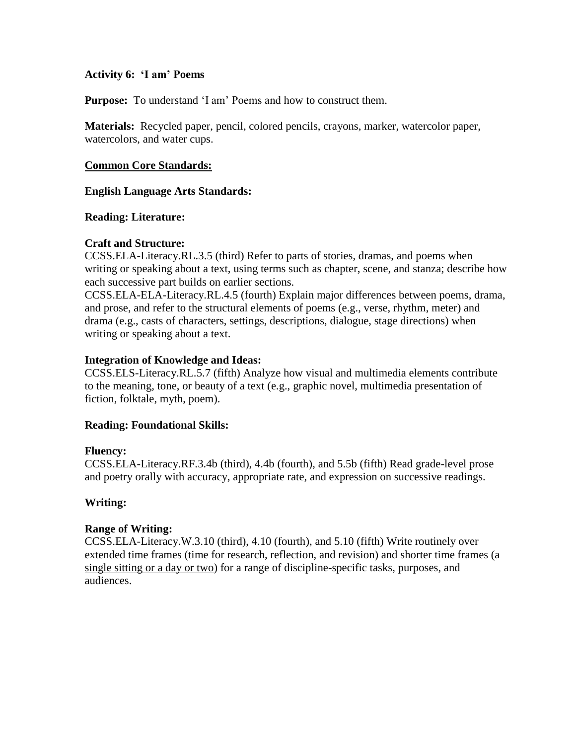### **Activity 6: 'I am' Poems**

**Purpose:** To understand 'I am' Poems and how to construct them.

**Materials:** Recycled paper, pencil, colored pencils, crayons, marker, watercolor paper, watercolors, and water cups.

### **Common Core Standards:**

**English Language Arts Standards:** 

#### **Reading: Literature:**

## **Craft and Structure:**

CCSS.ELA-Literacy.RL.3.5 (third) Refer to parts of stories, dramas, and poems when writing or speaking about a text, using terms such as chapter, scene, and stanza; describe how each successive part builds on earlier sections.

CCSS.ELA-ELA-Literacy.RL.4.5 (fourth) Explain major differences between poems, drama, and prose, and refer to the structural elements of poems (e.g., verse, rhythm, meter) and drama (e.g., casts of characters, settings, descriptions, dialogue, stage directions) when writing or speaking about a text.

## **Integration of Knowledge and Ideas:**

CCSS.ELS-Literacy.RL.5.7 (fifth) Analyze how visual and multimedia elements contribute to the meaning, tone, or beauty of a text (e.g., graphic novel, multimedia presentation of fiction, folktale, myth, poem).

## **Reading: Foundational Skills:**

#### **Fluency:**

CCSS.ELA-Literacy.RF.3.4b (third), 4.4b (fourth), and 5.5b (fifth) Read grade-level prose and poetry orally with accuracy, appropriate rate, and expression on successive readings.

## **Writing:**

#### **Range of Writing:**

CCSS.ELA-Literacy.W.3.10 (third), 4.10 (fourth), and 5.10 (fifth) Write routinely over extended time frames (time for research, reflection, and revision) and shorter time frames (a single sitting or a day or two) for a range of discipline-specific tasks, purposes, and audiences.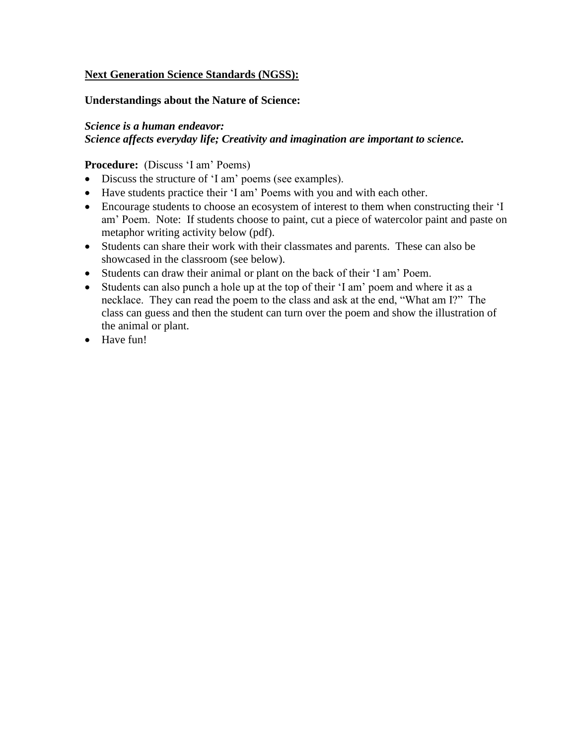## **Next Generation Science Standards (NGSS):**

## **Understandings about the Nature of Science:**

## *Science is a human endeavor: Science affects everyday life; Creativity and imagination are important to science.*

## **Procedure:** (Discuss 'I am' Poems)

- Discuss the structure of "I am" poems (see examples).
- Have students practice their "I am" Poems with you and with each other.
- Encourage students to choose an ecosystem of interest to them when constructing their "I am" Poem. Note: If students choose to paint, cut a piece of watercolor paint and paste on metaphor writing activity below (pdf).
- Students can share their work with their classmates and parents. These can also be showcased in the classroom (see below).
- Students can draw their animal or plant on the back of their "I am" Poem.
- Students can also punch a hole up at the top of their "I am" poem and where it as a necklace. They can read the poem to the class and ask at the end, "What am I?" The class can guess and then the student can turn over the poem and show the illustration of the animal or plant.
- Have fun!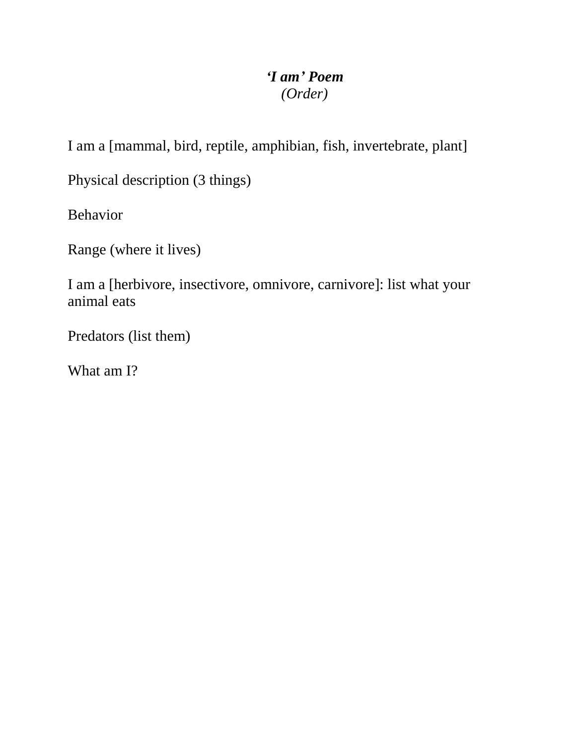# *'I am' Poem (Order)*

I am a [mammal, bird, reptile, amphibian, fish, invertebrate, plant]

Physical description (3 things)

Behavior

Range (where it lives)

I am a [herbivore, insectivore, omnivore, carnivore]: list what your animal eats

Predators (list them)

What am I?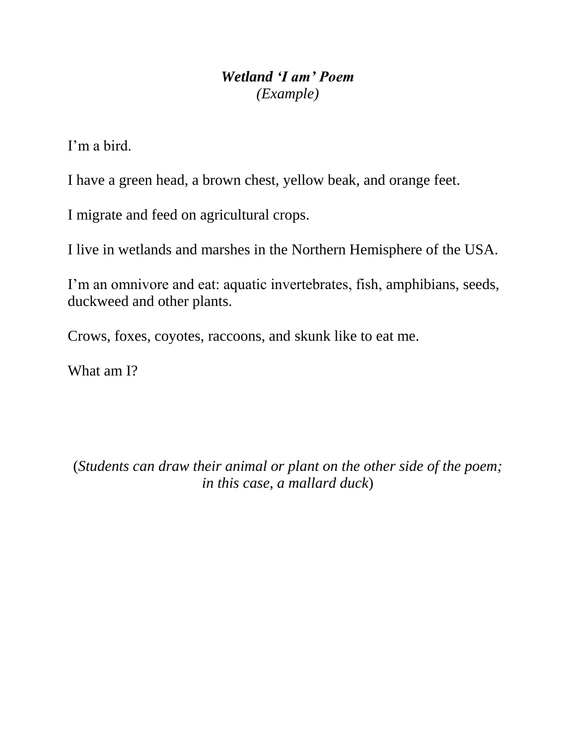## *Wetland 'I am' Poem (Example)*

I"m a bird.

I have a green head, a brown chest, yellow beak, and orange feet.

I migrate and feed on agricultural crops.

I live in wetlands and marshes in the Northern Hemisphere of the USA.

I'm an omnivore and eat: aquatic invertebrates, fish, amphibians, seeds, duckweed and other plants.

Crows, foxes, coyotes, raccoons, and skunk like to eat me.

What am I?

(*Students can draw their animal or plant on the other side of the poem; in this case, a mallard duck*)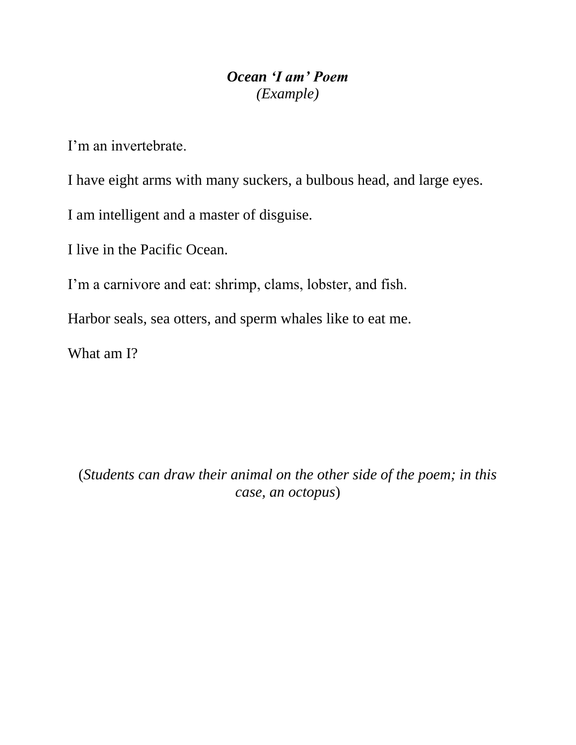## *Ocean 'I am' Poem (Example)*

I'm an invertebrate

I have eight arms with many suckers, a bulbous head, and large eyes.

I am intelligent and a master of disguise.

I live in the Pacific Ocean.

I'm a carnivore and eat: shrimp, clams, lobster, and fish.

Harbor seals, sea otters, and sperm whales like to eat me.

What am I?

(*Students can draw their animal on the other side of the poem; in this case, an octopus*)